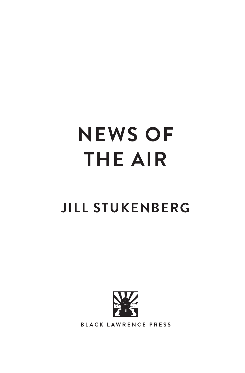## **NEWS OF THE AIR**

## **JILL STUKENBERG**



**BLACK LAWRENCE PRESS**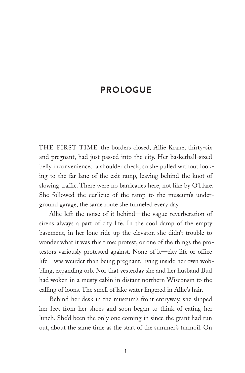## **PROLOGUE**

THE FIRST TIME the borders closed, Allie Krane, thirty-six and pregnant, had just passed into the city. Her basketball-sized belly inconvenienced a shoulder check, so she pulled without looking to the far lane of the exit ramp, leaving behind the knot of slowing traffic. There were no barricades here, not like by O'Hare. She followed the curlicue of the ramp to the museum's underground garage, the same route she funneled every day.

Allie left the noise of it behind—the vague reverberation of sirens always a part of city life. In the cool damp of the empty basement, in her lone ride up the elevator, she didn't trouble to wonder what it was this time: protest, or one of the things the protestors variously protested against. None of it—city life or office life—was weirder than being pregnant, living inside her own wobbling, expanding orb. Nor that yesterday she and her husband Bud had woken in a musty cabin in distant northern Wisconsin to the calling of loons. The smell of lake water lingered in Allie's hair.

Behind her desk in the museum's front entryway, she slipped her feet from her shoes and soon began to think of eating her lunch. She'd been the only one coming in since the grant had run out, about the same time as the start of the summer's turmoil. On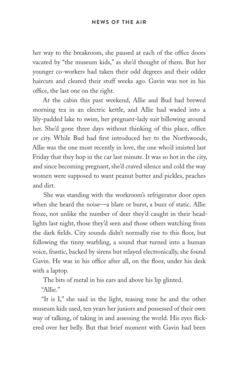her way to the breakroom, she paused at each of the office doors vacated by "the museum kids," as she'd thought of them. But her younger co-workers had taken their odd degrees and their odder haircuts and cleared their stuff weeks ago. Gavin was not in his office, the last one on the right.

At the cabin this past weekend, Allie and Bud had brewed morning tea in an electric kettle, and Allie had waded into a lily-padded lake to swim, her pregnant-lady suit billowing around her. She'd gone three days without thinking of this place, office or city. While Bud had first introduced her to the Northwoods, Allie was the one most recently in love, the one who'd insisted last Friday that they hop in the car last minute. It was so hot in the city, and since becoming pregnant, she'd craved silence and cold the way women were supposed to want peanut butter and pickles, peaches and dirt.

She was standing with the workroom's refrigerator door open when she heard the noise—a blare or burst, a buzz of static. Allie froze, not unlike the number of deer they'd caught in their headlights last night, those they'd seen and those others watching from the dark fields. City sounds didn't normally rise to this floor, but following the tinny warbling, a sound that turned into a human voice, frantic, backed by sirens but relayed electronically, she found Gavin. He was in his office after all, on the floor, under his desk with a laptop.

The bits of metal in his ears and above his lip glinted.

"Allie."

"It is I," she said in the light, teasing tone he and the other museum kids used, ten years her juniors and possessed of their own way of talking, of taking in and assessing the world. His eyes flickered over her belly. But that brief moment with Gavin had been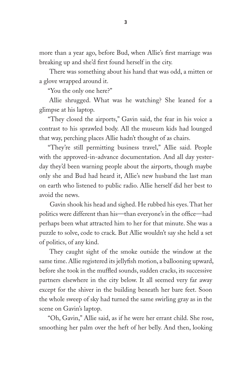more than a year ago, before Bud, when Allie's first marriage was breaking up and she'd first found herself in the city.

There was something about his hand that was odd, a mitten or a glove wrapped around it.

"You the only one here?"

Allie shrugged. What was he watching? She leaned for a glimpse at his laptop.

"They closed the airports," Gavin said, the fear in his voice a contrast to his sprawled body. All the museum kids had lounged that way, perching places Allie hadn't thought of as chairs.

"They're still permitting business travel," Allie said. People with the approved-in-advance documentation. And all day yesterday they'd been warning people about the airports, though maybe only she and Bud had heard it, Allie's new husband the last man on earth who listened to public radio. Allie herself did her best to avoid the news.

Gavin shook his head and sighed. He rubbed his eyes. That her politics were different than his—than everyone's in the office—had perhaps been what attracted him to her for that minute. She was a puzzle to solve, code to crack. But Allie wouldn't say she held a set of politics, of any kind.

They caught sight of the smoke outside the window at the same time. Allie registered its jellyfish motion, a ballooning upward, before she took in the muffled sounds, sudden cracks, its successive partners elsewhere in the city below. It all seemed very far away except for the shiver in the building beneath her bare feet. Soon the whole sweep of sky had turned the same swirling gray as in the scene on Gavin's laptop.

"Oh, Gavin," Allie said, as if he were her errant child. She rose, smoothing her palm over the heft of her belly. And then, looking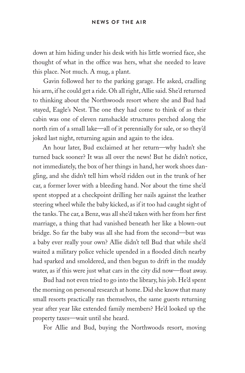down at him hiding under his desk with his little worried face, she thought of what in the office was hers, what she needed to leave this place. Not much. A mug, a plant.

Gavin followed her to the parking garage. He asked, cradling his arm, if he could get a ride. Oh all right, Allie said. She'd returned to thinking about the Northwoods resort where she and Bud had stayed, Eagle's Nest. The one they had come to think of as their cabin was one of eleven ramshackle structures perched along the north rim of a small lake—all of it perennially for sale, or so they'd joked last night, returning again and again to the idea.

An hour later, Bud exclaimed at her return—why hadn't she turned back sooner? It was all over the news! But he didn't notice, not immediately, the box of her things in hand, her work shoes dangling, and she didn't tell him who'd ridden out in the trunk of her car, a former lover with a bleeding hand. Nor about the time she'd spent stopped at a checkpoint drilling her nails against the leather steering wheel while the baby kicked, as if it too had caught sight of the tanks. The car, a Benz, was all she'd taken with her from her first marriage, a thing that had vanished beneath her like a blown-out bridge. So far the baby was all she had from the second—but was a baby ever really your own? Allie didn't tell Bud that while she'd waited a military police vehicle upended in a flooded ditch nearby had sparked and smoldered, and then begun to drift in the muddy water, as if this were just what cars in the city did now—float away.

Bud had not even tried to go into the library, his job. He'd spent the morning on personal research at home. Did she know that many small resorts practically ran themselves, the same guests returning year after year like extended family members? He'd looked up the property taxes—wait until she heard.

For Allie and Bud, buying the Northwoods resort, moving